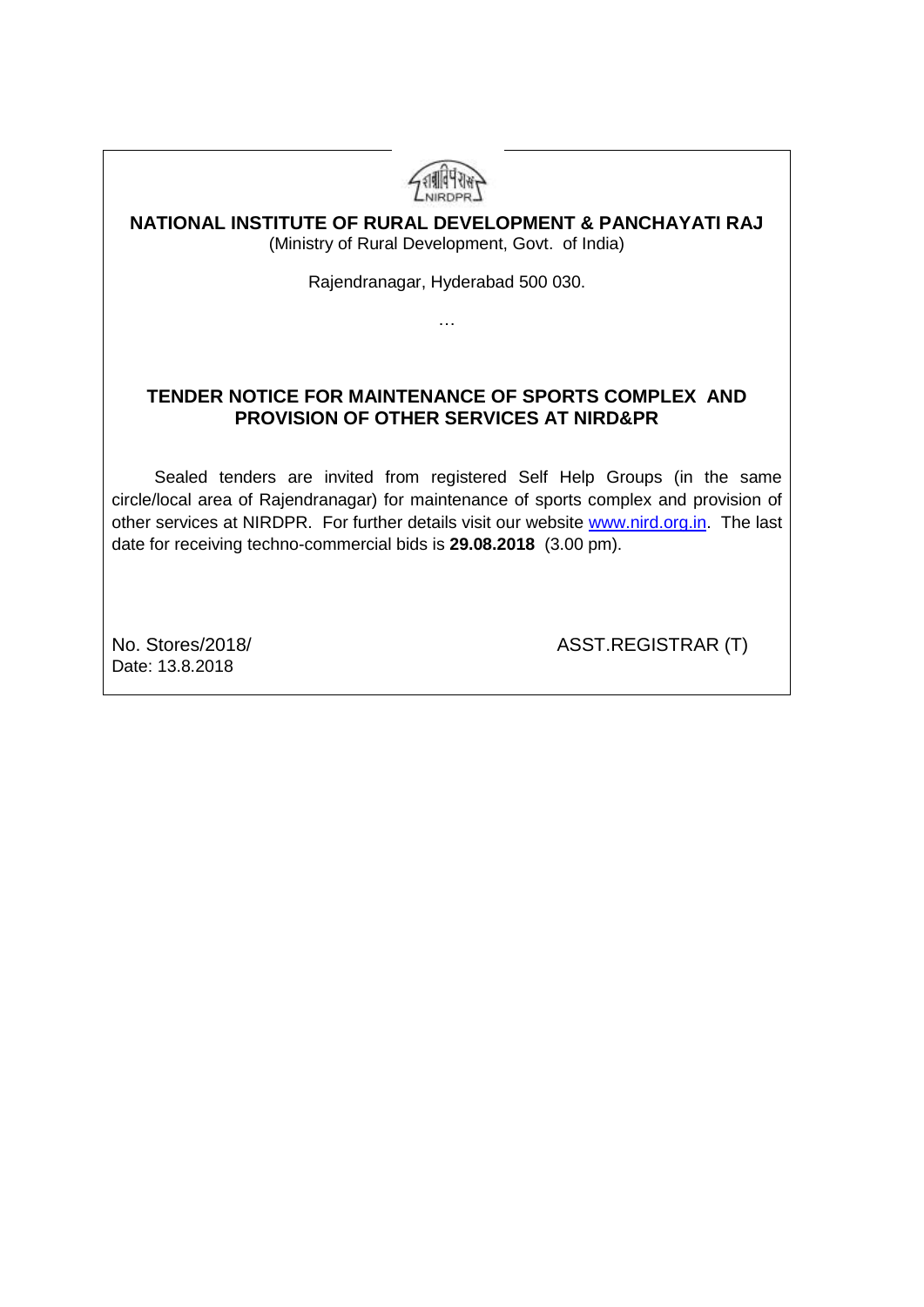

#### **NATIONAL INSTITUTE OF RURAL DEVELOPMENT & PANCHAYATI RAJ** (Ministry of Rural Development, Govt. of India)

Rajendranagar, Hyderabad 500 030.

…

### **TENDER NOTICE FOR MAINTENANCE OF SPORTS COMPLEX AND PROVISION OF OTHER SERVICES AT NIRD&PR**

 Sealed tenders are invited from registered Self Help Groups (in the same circle/local area of Rajendranagar) for maintenance of sports complex and provision of other services at NIRDPR. For further details visit our website [www.nird.org.in.](http://www.nird.org.in/) The last date for receiving techno-commercial bids is **29.08.2018** (3.00 pm).

Date: 13.8.2018

No. Stores/2018/ ASST.REGISTRAR (T)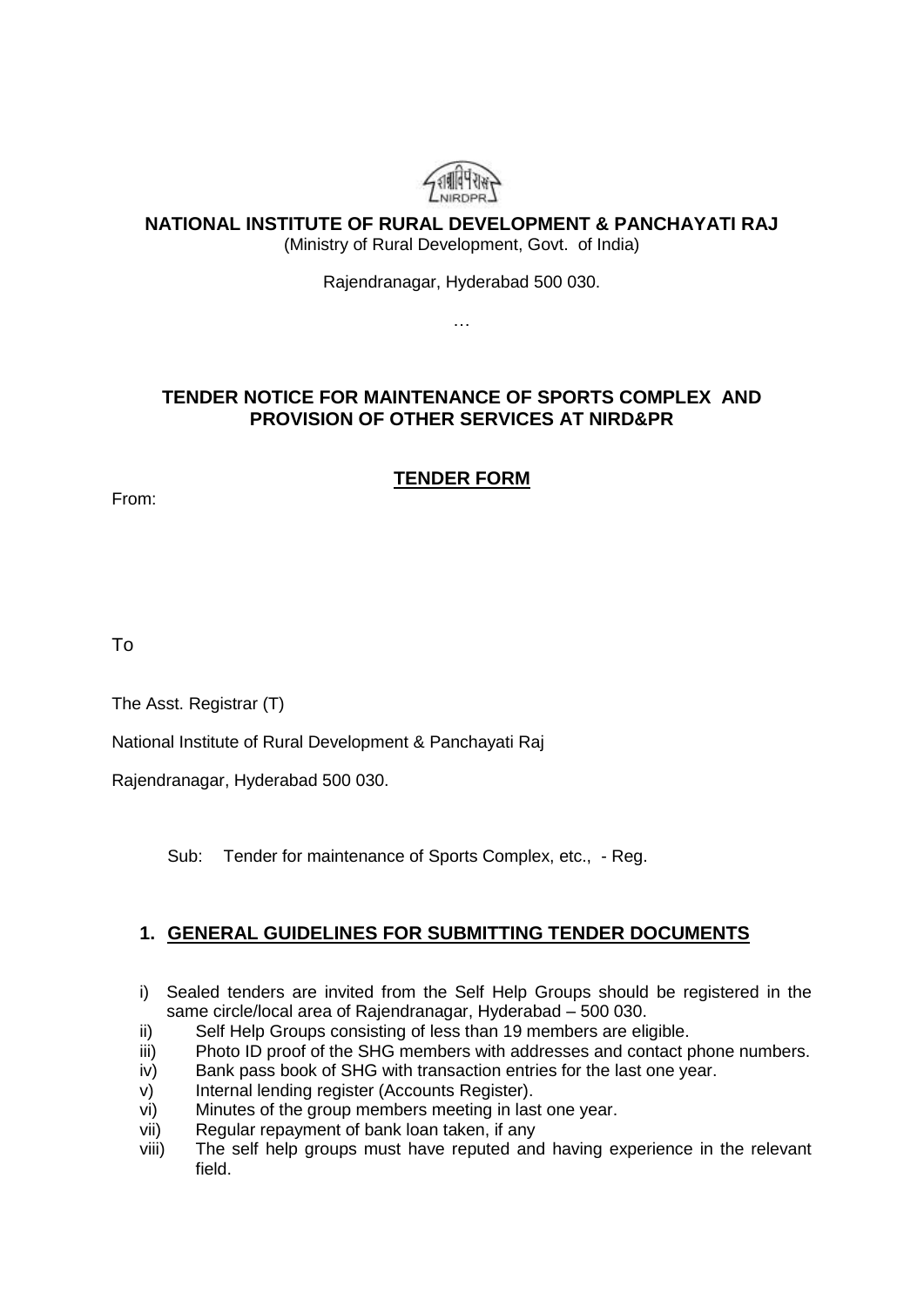

### **NATIONAL INSTITUTE OF RURAL DEVELOPMENT & PANCHAYATI RAJ**

(Ministry of Rural Development, Govt. of India)

Rajendranagar, Hyderabad 500 030.

…

### **TENDER NOTICE FOR MAINTENANCE OF SPORTS COMPLEX AND PROVISION OF OTHER SERVICES AT NIRD&PR**

### **TENDER FORM**

From:

To

The Asst. Registrar (T)

National Institute of Rural Development & Panchayati Raj

Rajendranagar, Hyderabad 500 030.

Sub: Tender for maintenance of Sports Complex, etc., - Reg.

## **1. GENERAL GUIDELINES FOR SUBMITTING TENDER DOCUMENTS**

- i) Sealed tenders are invited from the Self Help Groups should be registered in the same circle/local area of Rajendranagar, Hyderabad – 500 030.
- ii) Self Help Groups consisting of less than 19 members are eligible.
- iii) Photo ID proof of the SHG members with addresses and contact phone numbers.
- iv) Bank pass book of SHG with transaction entries for the last one year.
- v) Internal lending register (Accounts Register).
- vi) Minutes of the group members meeting in last one year.
- vii) Regular repayment of bank loan taken, if any
- viii) The self help groups must have reputed and having experience in the relevant field.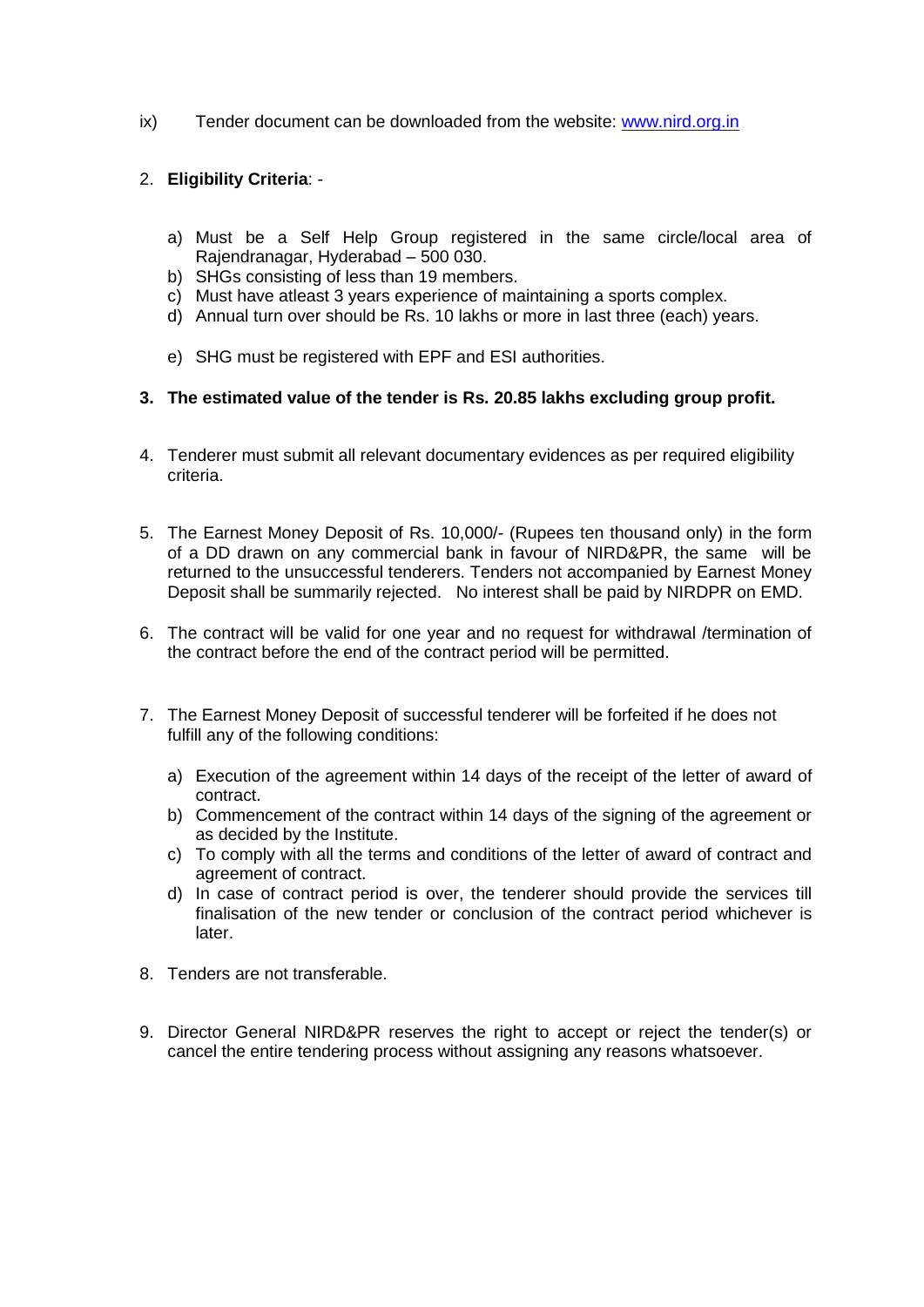ix) Tender document can be downloaded from the website: [www.nird.org.in](http://www.nird.org.in/)

#### 2. **Eligibility Criteria**: -

- a) Must be a Self Help Group registered in the same circle/local area of Rajendranagar, Hyderabad – 500 030.
- b) SHGs consisting of less than 19 members.
- c) Must have atleast 3 years experience of maintaining a sports complex.
- d) Annual turn over should be Rs. 10 lakhs or more in last three (each) years.
- e) SHG must be registered with EPF and ESI authorities.
- **3. The estimated value of the tender is Rs. 20.85 lakhs excluding group profit.**
- 4. Tenderer must submit all relevant documentary evidences as per required eligibility criteria.
- 5. The Earnest Money Deposit of Rs. 10,000/- (Rupees ten thousand only) in the form of a DD drawn on any commercial bank in favour of NIRD&PR, the same will be returned to the unsuccessful tenderers. Tenders not accompanied by Earnest Money Deposit shall be summarily rejected. No interest shall be paid by NIRDPR on EMD.
- 6. The contract will be valid for one year and no request for withdrawal /termination of the contract before the end of the contract period will be permitted.
- 7. The Earnest Money Deposit of successful tenderer will be forfeited if he does not fulfill any of the following conditions:
	- a) Execution of the agreement within 14 days of the receipt of the letter of award of contract.
	- b) Commencement of the contract within 14 days of the signing of the agreement or as decided by the Institute.
	- c) To comply with all the terms and conditions of the letter of award of contract and agreement of contract.
	- d) In case of contract period is over, the tenderer should provide the services till finalisation of the new tender or conclusion of the contract period whichever is later.
- 8. Tenders are not transferable.
- 9. Director General NIRD&PR reserves the right to accept or reject the tender(s) or cancel the entire tendering process without assigning any reasons whatsoever.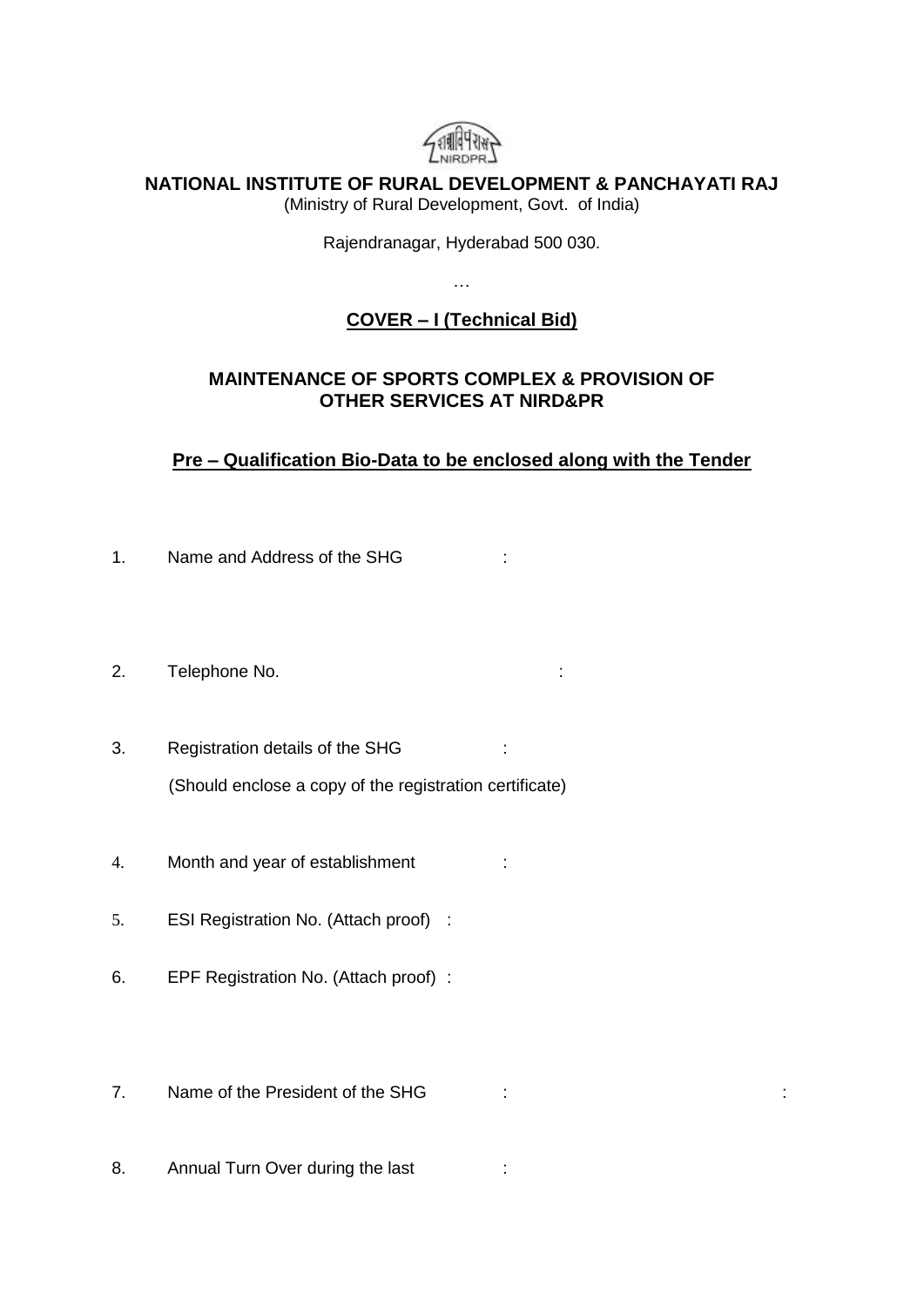

**NATIONAL INSTITUTE OF RURAL DEVELOPMENT & PANCHAYATI RAJ**

(Ministry of Rural Development, Govt. of India)

Rajendranagar, Hyderabad 500 030.

…

## **COVER – I (Technical Bid)**

### **MAINTENANCE OF SPORTS COMPLEX & PROVISION OF OTHER SERVICES AT NIRD&PR**

**Pre – Qualification Bio-Data to be enclosed along with the Tender**

- 1. Name and Address of the SHG internal to the Name of the SHG internal to the N
- 2. Telephone No. 69 and 2. Telephone No.
- 3. Registration details of the SHG : (Should enclose a copy of the registration certificate)
- 4. Month and year of establishment :
- 5. ESI Registration No. (Attach proof) :
- 6. EPF Registration No. (Attach proof) :
- 7. Name of the President of the SHG : :
- 8. Annual Turn Over during the last :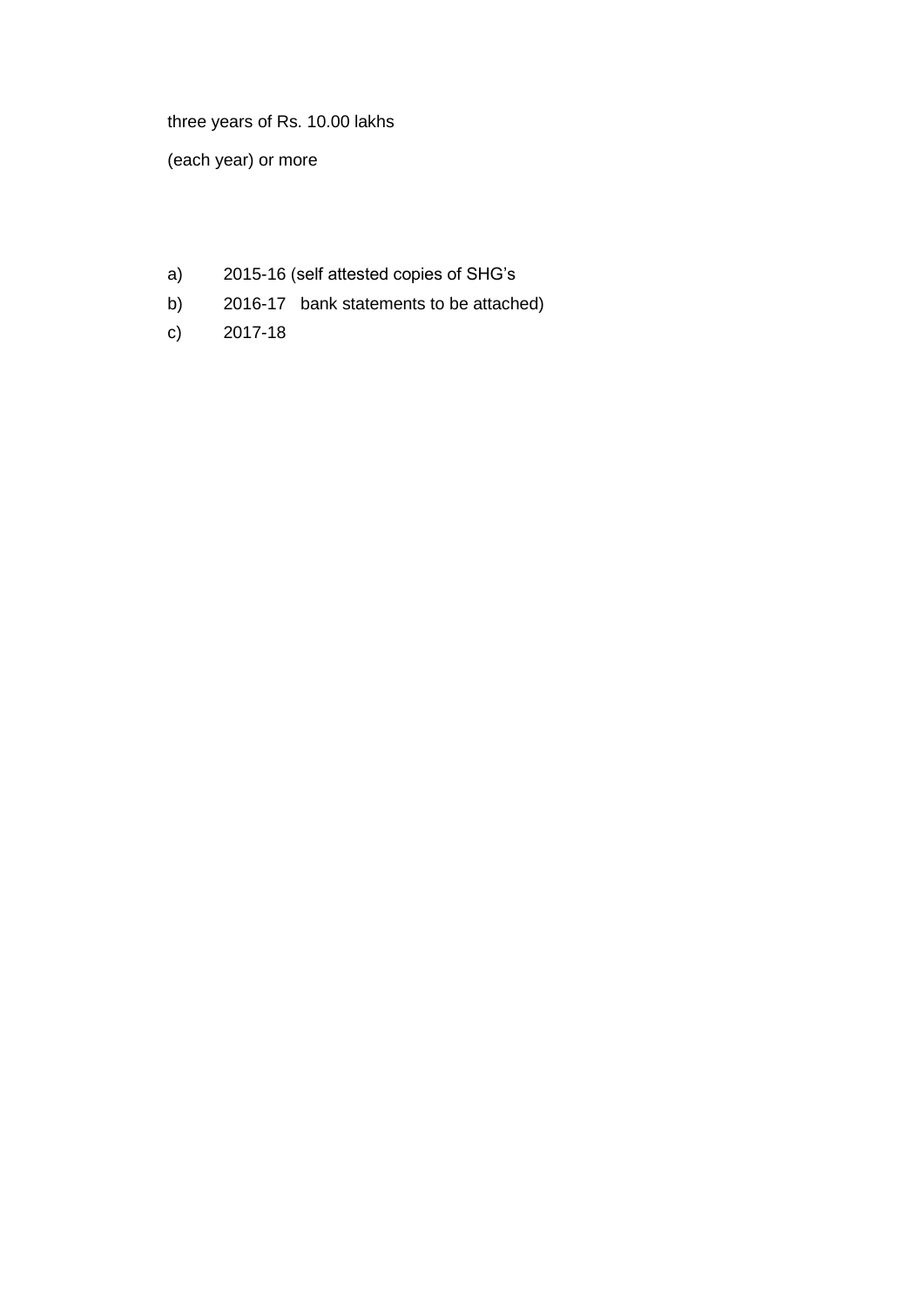three years of Rs. 10.00 lakhs

(each year) or more

- a) 2015-16 (self attested copies of SHG's
- b) 2016-17 bank statements to be attached)
- c) 2017-18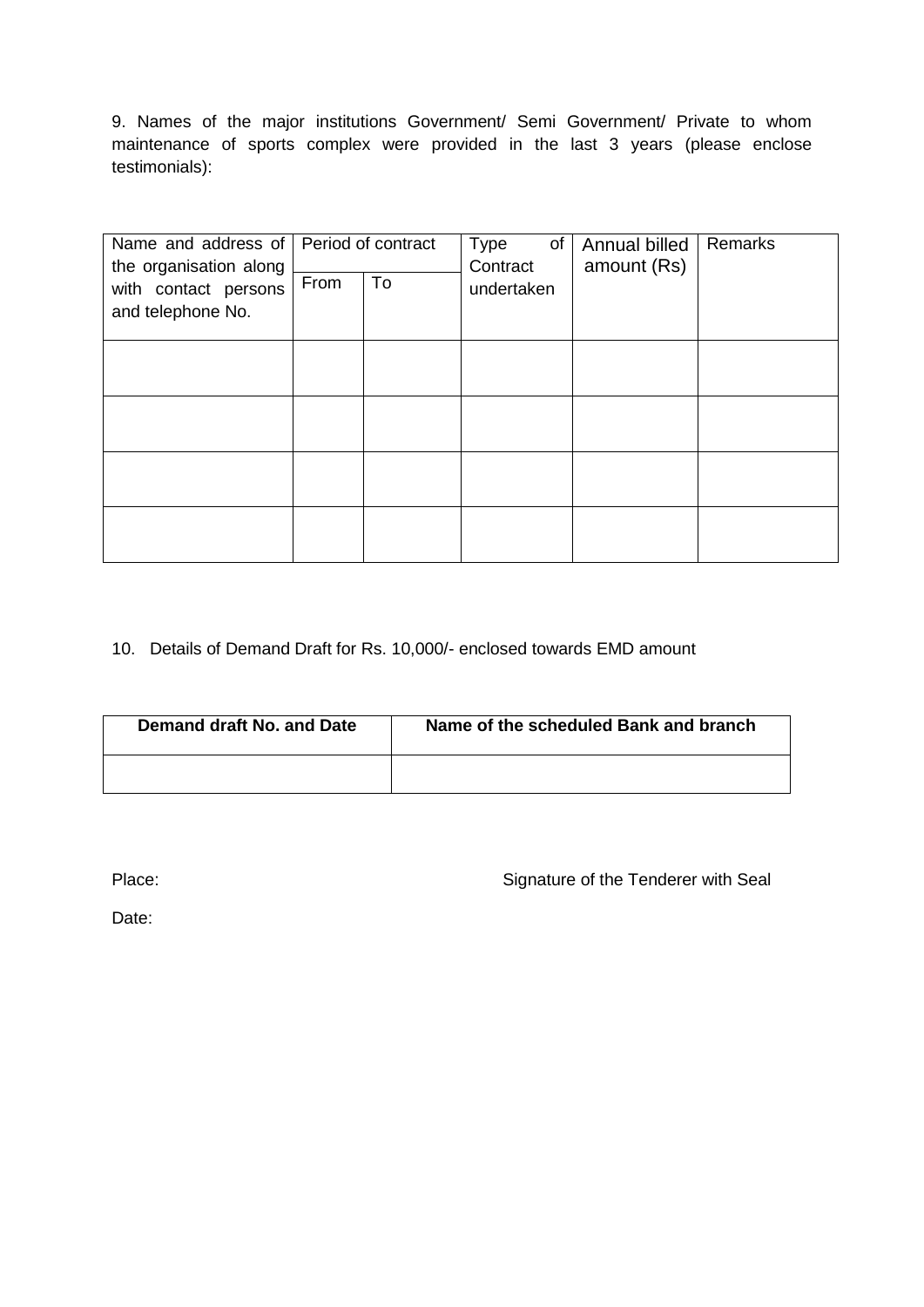9. Names of the major institutions Government/ Semi Government/ Private to whom maintenance of sports complex were provided in the last 3 years (please enclose testimonials):

| Name and address of Period of contract<br>the organisation along<br>with contact persons<br>and telephone No. | From | To | of<br>Type<br>Contract<br>undertaken | Annual billed<br>amount (Rs) | Remarks |
|---------------------------------------------------------------------------------------------------------------|------|----|--------------------------------------|------------------------------|---------|
|                                                                                                               |      |    |                                      |                              |         |
|                                                                                                               |      |    |                                      |                              |         |
|                                                                                                               |      |    |                                      |                              |         |
|                                                                                                               |      |    |                                      |                              |         |

#### 10. Details of Demand Draft for Rs. 10,000/- enclosed towards EMD amount

| Demand draft No. and Date | Name of the scheduled Bank and branch |
|---------------------------|---------------------------------------|
|                           |                                       |

Place: Place: Signature of the Tenderer with Seal

Date: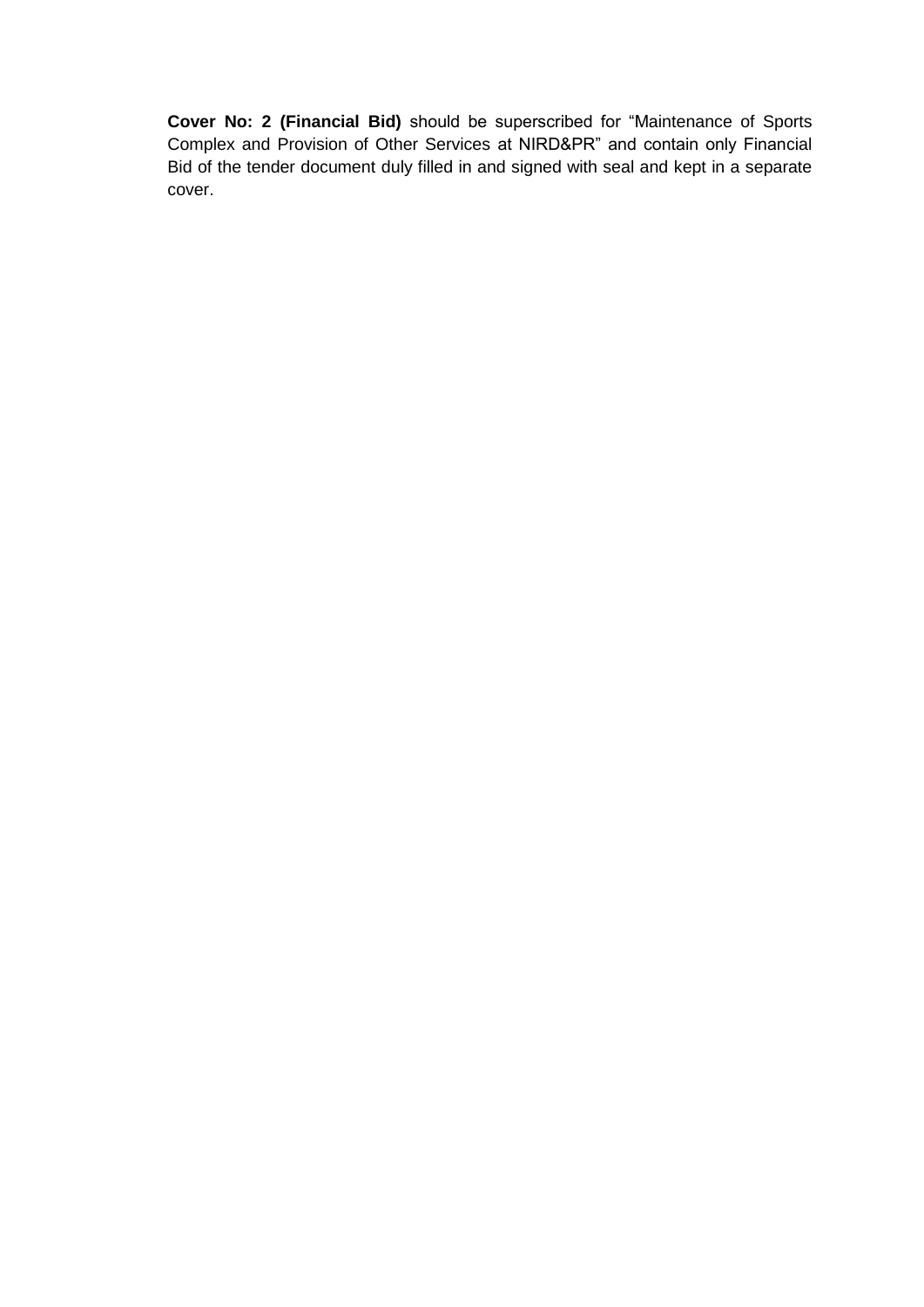**Cover No: 2 (Financial Bid)** should be superscribed for "Maintenance of Sports Complex and Provision of Other Services at NIRD&PR" and contain only Financial Bid of the tender document duly filled in and signed with seal and kept in a separate cover.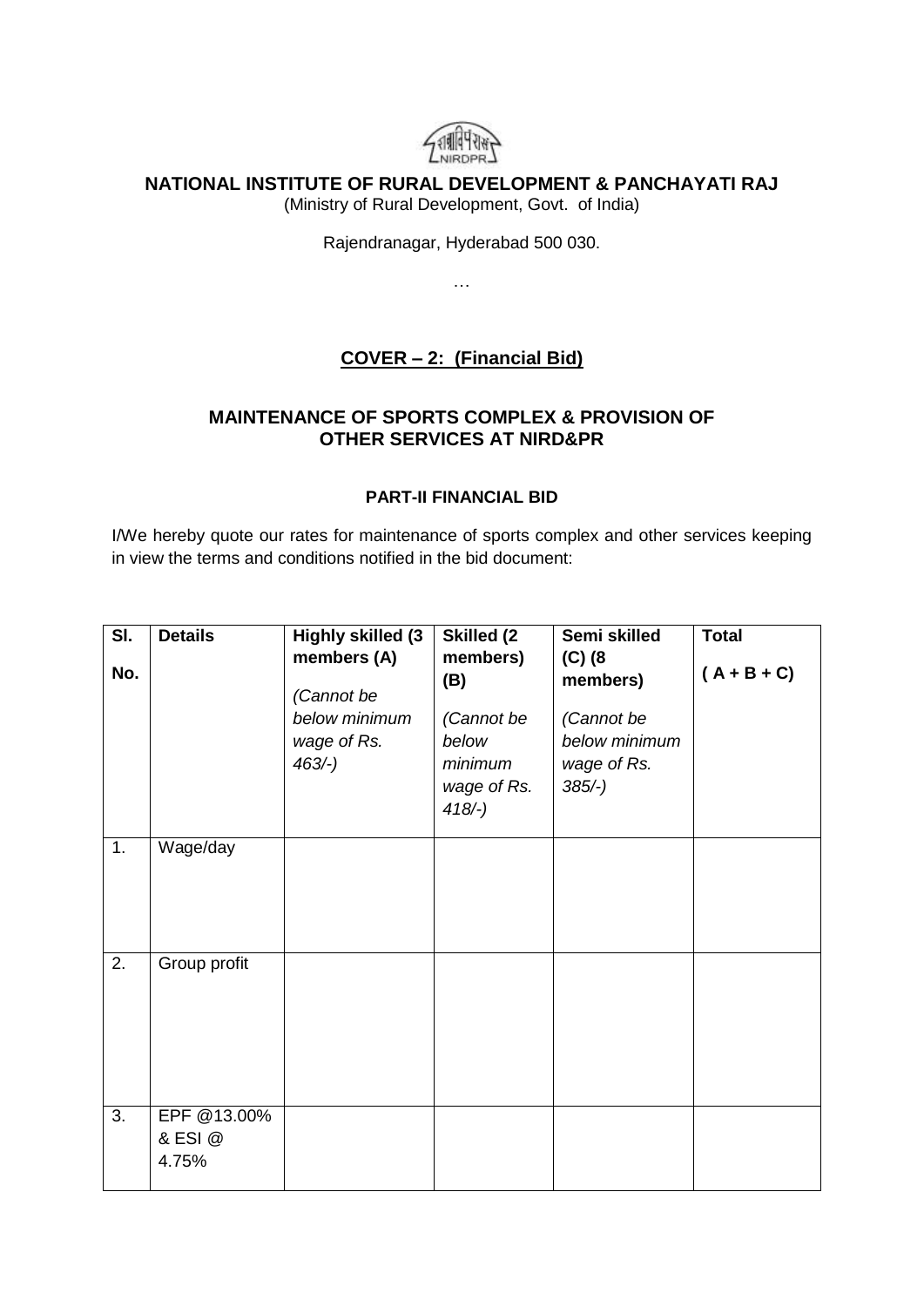

#### **NATIONAL INSTITUTE OF RURAL DEVELOPMENT & PANCHAYATI RAJ**

(Ministry of Rural Development, Govt. of India)

Rajendranagar, Hyderabad 500 030.

…

## **COVER – 2: (Financial Bid)**

### **MAINTENANCE OF SPORTS COMPLEX & PROVISION OF OTHER SERVICES AT NIRD&PR**

#### **PART-II FINANCIAL BID**

I/We hereby quote our rates for maintenance of sports complex and other services keeping in view the terms and conditions notified in the bid document:

| SI.<br>No. | <b>Details</b>                  | <b>Highly skilled (3)</b><br>members (A)<br>(Cannot be | <b>Skilled (2)</b><br>members)<br>(B)                      | Semi skilled<br>$(C)$ (8<br>members)                    | <b>Total</b><br>$(A + B + C)$ |
|------------|---------------------------------|--------------------------------------------------------|------------------------------------------------------------|---------------------------------------------------------|-------------------------------|
|            |                                 | below minimum<br>wage of Rs.<br>$463/-$ )              | (Cannot be<br>below<br>minimum<br>wage of Rs.<br>$418/-$ ) | (Cannot be<br>below minimum<br>wage of Rs.<br>$385/-$ ) |                               |
| 1.         | Wage/day                        |                                                        |                                                            |                                                         |                               |
| 2.         | Group profit                    |                                                        |                                                            |                                                         |                               |
| 3.         | EPF @13.00%<br>& ESI @<br>4.75% |                                                        |                                                            |                                                         |                               |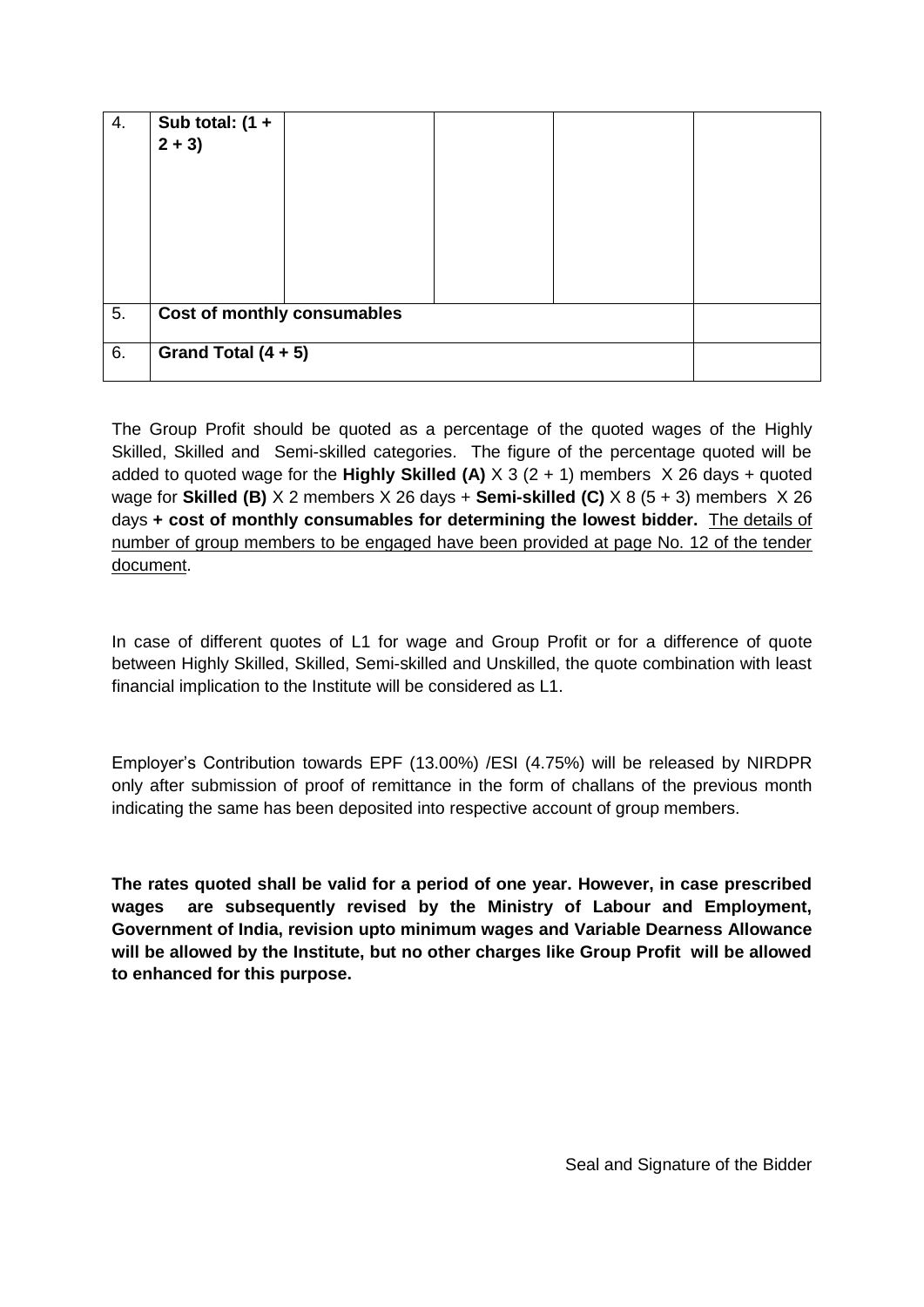| 4. | Sub total: $(1 +$<br>$2 + 3$       |  |
|----|------------------------------------|--|
| 5. | <b>Cost of monthly consumables</b> |  |
| 6. | Grand Total $(4 + 5)$              |  |

The Group Profit should be quoted as a percentage of the quoted wages of the Highly Skilled, Skilled and Semi-skilled categories. The figure of the percentage quoted will be added to quoted wage for the **Highly Skilled (A)**  $\times$  3 (2 + 1) members  $\times$  26 days + quoted wage for **Skilled (B)** X 2 members X 26 days + **Semi-skilled (C)** X 8 (5 + 3) members X 26 days **+ cost of monthly consumables for determining the lowest bidder.** The details of number of group members to be engaged have been provided at page No. 12 of the tender document.

In case of different quotes of L1 for wage and Group Profit or for a difference of quote between Highly Skilled, Skilled, Semi-skilled and Unskilled, the quote combination with least financial implication to the Institute will be considered as L1.

Employer's Contribution towards EPF (13.00%) /ESI (4.75%) will be released by NIRDPR only after submission of proof of remittance in the form of challans of the previous month indicating the same has been deposited into respective account of group members.

**The rates quoted shall be valid for a period of one year. However, in case prescribed wages are subsequently revised by the Ministry of Labour and Employment, Government of India, revision upto minimum wages and Variable Dearness Allowance will be allowed by the Institute, but no other charges like Group Profit will be allowed to enhanced for this purpose.**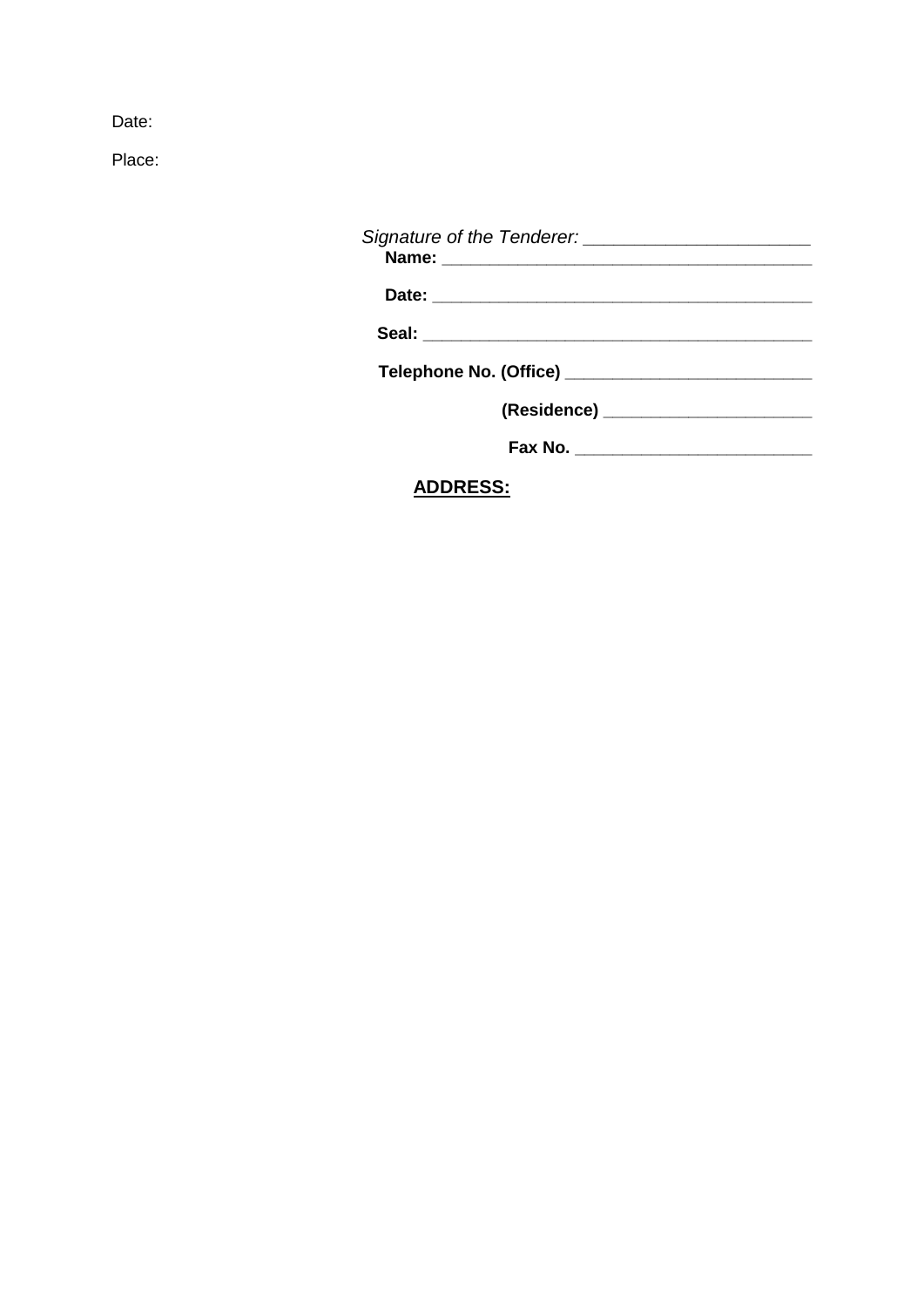Date:

Place:

| <b>ADDRESS:</b> |  |
|-----------------|--|
|                 |  |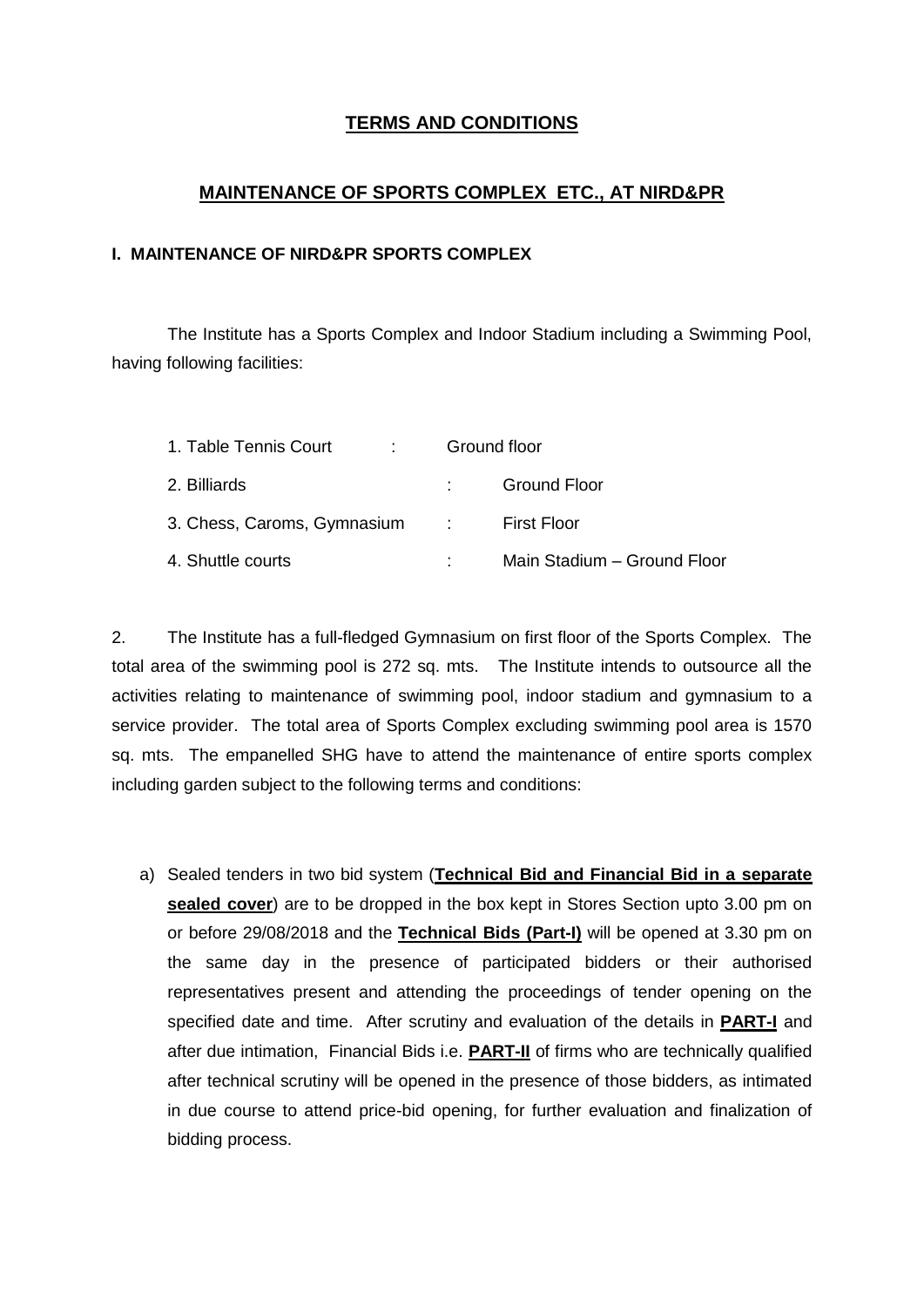### **TERMS AND CONDITIONS**

#### **MAINTENANCE OF SPORTS COMPLEX ETC., AT NIRD&PR**

#### **I. MAINTENANCE OF NIRD&PR SPORTS COMPLEX**

The Institute has a Sports Complex and Indoor Stadium including a Swimming Pool, having following facilities:

| 1. Table Tennis Court         | Ground floor |                             |  |  |
|-------------------------------|--------------|-----------------------------|--|--|
| 2. Billiards                  |              | <b>Ground Floor</b>         |  |  |
| 3. Chess, Caroms, Gymnasium : |              | First Floor                 |  |  |
| 4. Shuttle courts             |              | Main Stadium - Ground Floor |  |  |

2. The Institute has a full-fledged Gymnasium on first floor of the Sports Complex. The total area of the swimming pool is 272 sq. mts. The Institute intends to outsource all the activities relating to maintenance of swimming pool, indoor stadium and gymnasium to a service provider. The total area of Sports Complex excluding swimming pool area is 1570 sq. mts. The empanelled SHG have to attend the maintenance of entire sports complex including garden subject to the following terms and conditions:

a) Sealed tenders in two bid system (**Technical Bid and Financial Bid in a separate sealed cover**) are to be dropped in the box kept in Stores Section upto 3.00 pm on or before 29/08/2018 and the **Technical Bids (Part-I)** will be opened at 3.30 pm on the same day in the presence of participated bidders or their authorised representatives present and attending the proceedings of tender opening on the specified date and time. After scrutiny and evaluation of the details in **PART-I** and after due intimation, Financial Bids i.e. **PART-II** of firms who are technically qualified after technical scrutiny will be opened in the presence of those bidders, as intimated in due course to attend price-bid opening, for further evaluation and finalization of bidding process.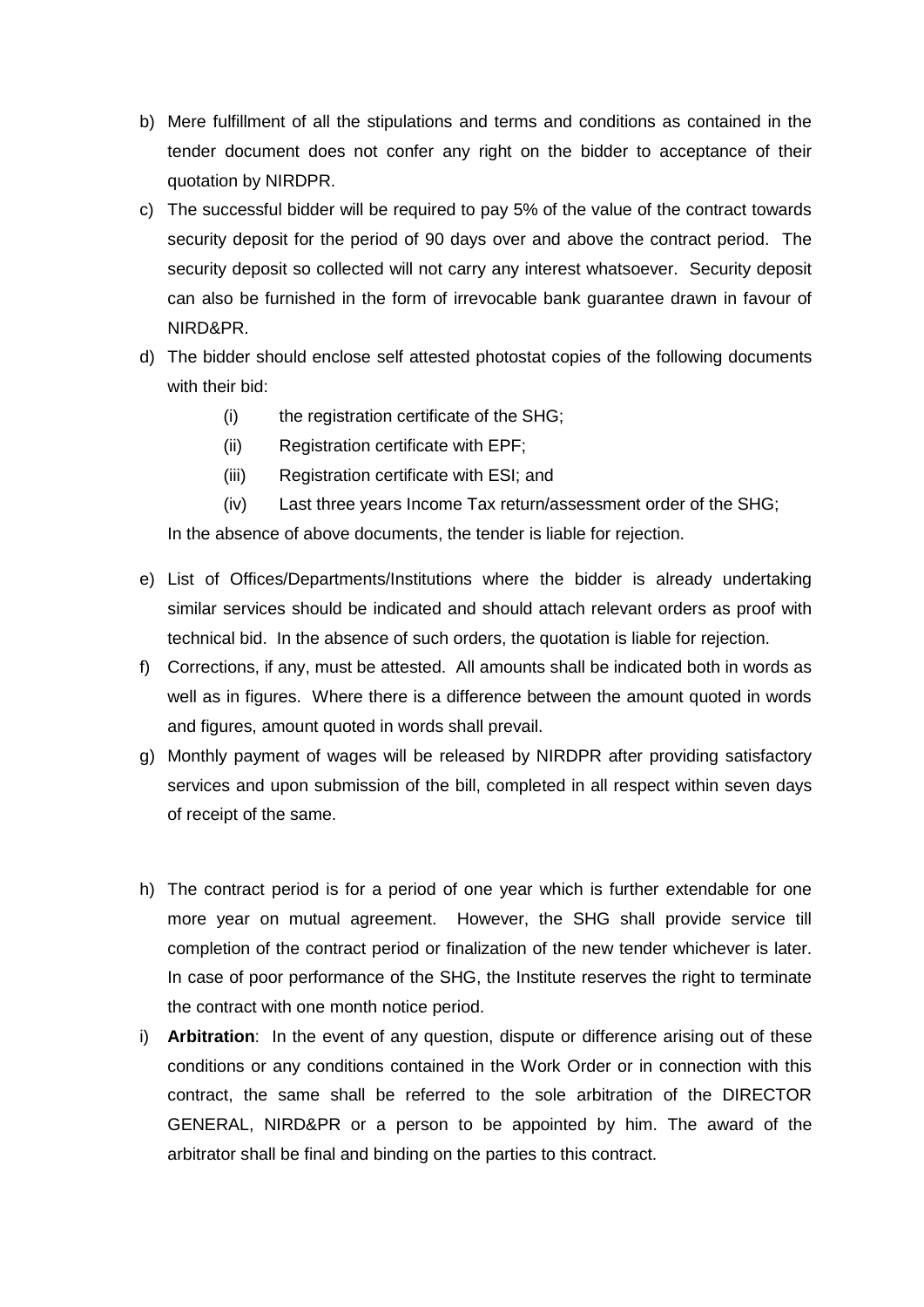- b) Mere fulfillment of all the stipulations and terms and conditions as contained in the tender document does not confer any right on the bidder to acceptance of their quotation by NIRDPR.
- c) The successful bidder will be required to pay 5% of the value of the contract towards security deposit for the period of 90 days over and above the contract period. The security deposit so collected will not carry any interest whatsoever. Security deposit can also be furnished in the form of irrevocable bank guarantee drawn in favour of NIRD&PR.
- d) The bidder should enclose self attested photostat copies of the following documents with their bid:
	- (i) the registration certificate of the SHG;
	- (ii) Registration certificate with EPF;
	- (iii) Registration certificate with ESI; and
	- (iv) Last three years Income Tax return/assessment order of the SHG;

In the absence of above documents, the tender is liable for rejection.

- e) List of Offices/Departments/Institutions where the bidder is already undertaking similar services should be indicated and should attach relevant orders as proof with technical bid. In the absence of such orders, the quotation is liable for rejection.
- f) Corrections, if any, must be attested. All amounts shall be indicated both in words as well as in figures. Where there is a difference between the amount quoted in words and figures, amount quoted in words shall prevail.
- g) Monthly payment of wages will be released by NIRDPR after providing satisfactory services and upon submission of the bill, completed in all respect within seven days of receipt of the same.
- h) The contract period is for a period of one year which is further extendable for one more year on mutual agreement. However, the SHG shall provide service till completion of the contract period or finalization of the new tender whichever is later. In case of poor performance of the SHG, the Institute reserves the right to terminate the contract with one month notice period.
- i) **Arbitration**: In the event of any question, dispute or difference arising out of these conditions or any conditions contained in the Work Order or in connection with this contract, the same shall be referred to the sole arbitration of the DIRECTOR GENERAL, NIRD&PR or a person to be appointed by him. The award of the arbitrator shall be final and binding on the parties to this contract.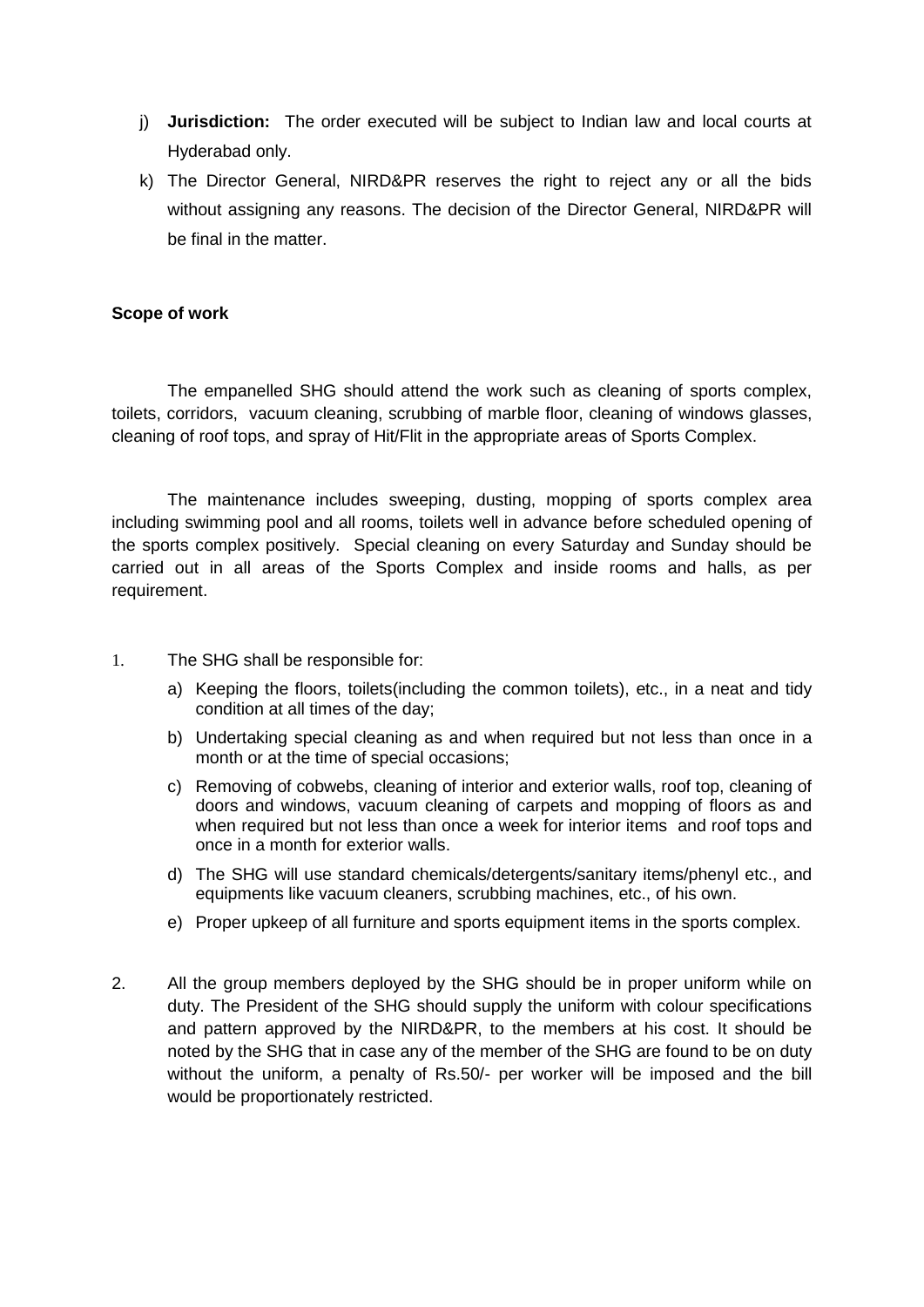- j) **Jurisdiction:** The order executed will be subject to Indian law and local courts at Hyderabad only.
- k) The Director General, NIRD&PR reserves the right to reject any or all the bids without assigning any reasons. The decision of the Director General, NIRD&PR will be final in the matter.

#### **Scope of work**

The empanelled SHG should attend the work such as cleaning of sports complex, toilets, corridors, vacuum cleaning, scrubbing of marble floor, cleaning of windows glasses, cleaning of roof tops, and spray of Hit/Flit in the appropriate areas of Sports Complex.

The maintenance includes sweeping, dusting, mopping of sports complex area including swimming pool and all rooms, toilets well in advance before scheduled opening of the sports complex positively. Special cleaning on every Saturday and Sunday should be carried out in all areas of the Sports Complex and inside rooms and halls, as per requirement.

- 1. The SHG shall be responsible for:
	- a) Keeping the floors, toilets(including the common toilets), etc., in a neat and tidy condition at all times of the day;
	- b) Undertaking special cleaning as and when required but not less than once in a month or at the time of special occasions;
	- c) Removing of cobwebs, cleaning of interior and exterior walls, roof top, cleaning of doors and windows, vacuum cleaning of carpets and mopping of floors as and when required but not less than once a week for interior items and roof tops and once in a month for exterior walls.
	- d) The SHG will use standard chemicals/detergents/sanitary items/phenyl etc., and equipments like vacuum cleaners, scrubbing machines, etc., of his own.
	- e) Proper upkeep of all furniture and sports equipment items in the sports complex.
- 2. All the group members deployed by the SHG should be in proper uniform while on duty. The President of the SHG should supply the uniform with colour specifications and pattern approved by the NIRD&PR, to the members at his cost. It should be noted by the SHG that in case any of the member of the SHG are found to be on duty without the uniform, a penalty of Rs.50/- per worker will be imposed and the bill would be proportionately restricted.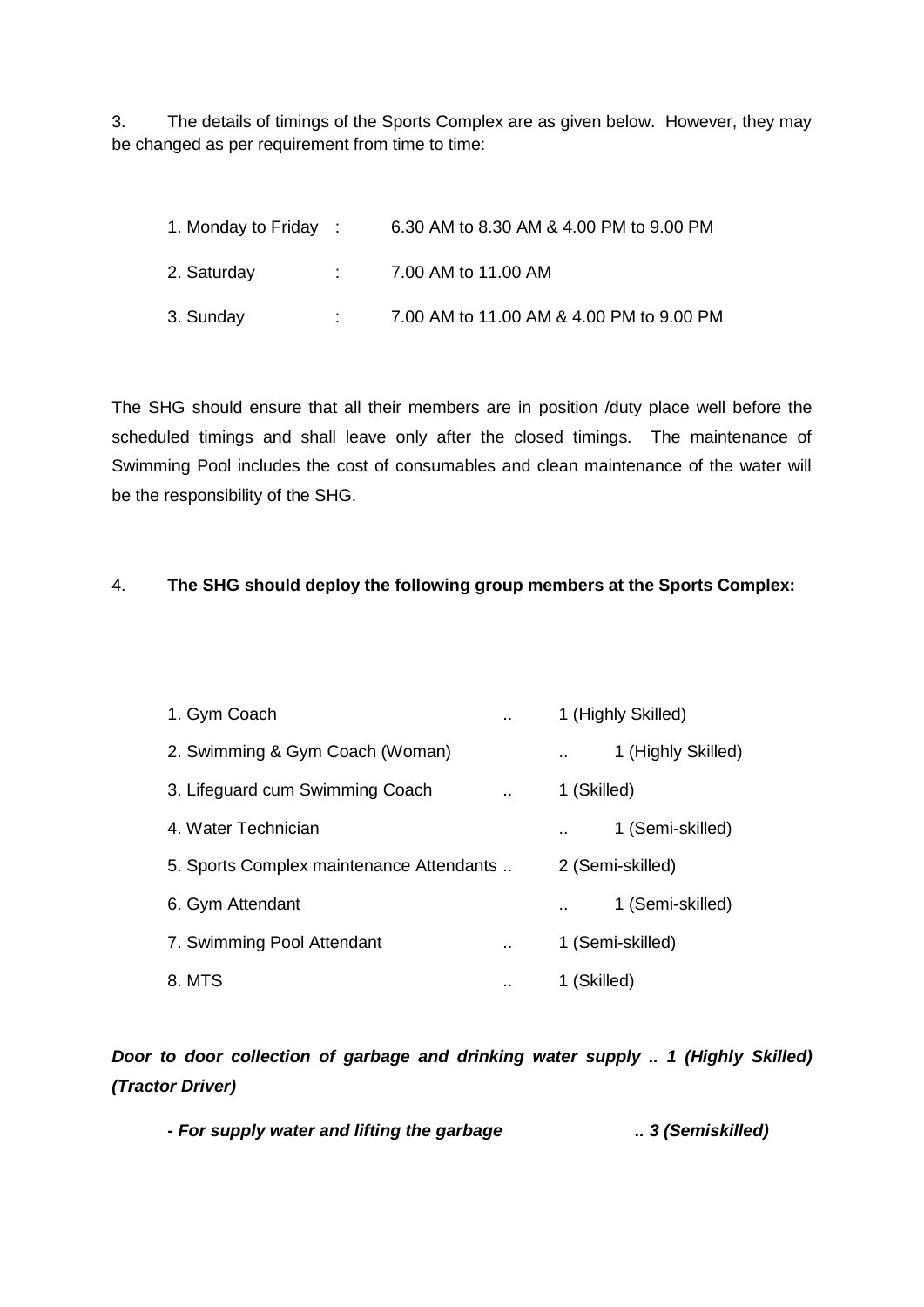3. The details of timings of the Sports Complex are as given below. However, they may be changed as per requirement from time to time:

| 1. Monday to Friday : | 6.30 AM to 8.30 AM & 4.00 PM to 9.00 PM  |
|-----------------------|------------------------------------------|
| 2. Saturday           | 7.00 AM to 11.00 AM                      |
| 3. Sunday             | 7.00 AM to 11.00 AM & 4.00 PM to 9.00 PM |

The SHG should ensure that all their members are in position /duty place well before the scheduled timings and shall leave only after the closed timings. The maintenance of Swimming Pool includes the cost of consumables and clean maintenance of the water will be the responsibility of the SHG.

#### 4. **The SHG should deploy the following group members at the Sports Complex:**

| 1. Gym Coach                             |                |             | 1 (Highly Skilled) |  |
|------------------------------------------|----------------|-------------|--------------------|--|
| 2. Swimming & Gym Coach (Woman)          |                |             | 1 (Highly Skilled) |  |
| 3. Lifeguard cum Swimming Coach          | $\mathbf{r}$ . | 1 (Skilled) |                    |  |
| 4. Water Technician                      |                |             | 1 (Semi-skilled)   |  |
| 5. Sports Complex maintenance Attendants |                |             | 2 (Semi-skilled)   |  |
| 6. Gym Attendant                         |                |             | 1 (Semi-skilled)   |  |
| 7. Swimming Pool Attendant               |                |             | 1 (Semi-skilled)   |  |
| 8. MTS                                   | . .            | 1 (Skilled) |                    |  |

# *Door to door collection of garbage and drinking water supply .. 1 (Highly Skilled) (Tractor Driver)*

*- For supply water and lifting the garbage .. 3 (Semiskilled)*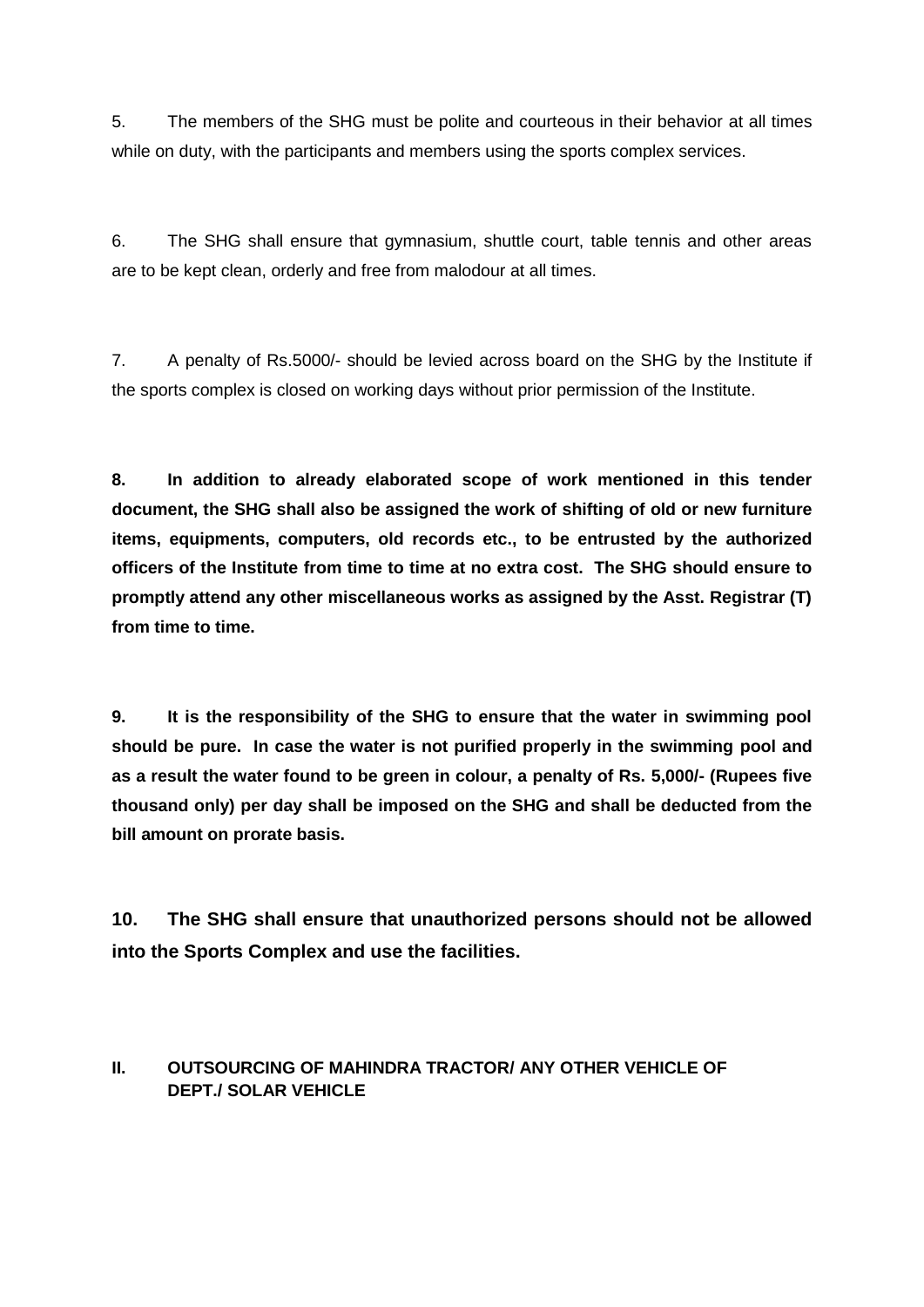5. The members of the SHG must be polite and courteous in their behavior at all times while on duty, with the participants and members using the sports complex services.

6. The SHG shall ensure that gymnasium, shuttle court, table tennis and other areas are to be kept clean, orderly and free from malodour at all times.

7. A penalty of Rs.5000/- should be levied across board on the SHG by the Institute if the sports complex is closed on working days without prior permission of the Institute.

**8. In addition to already elaborated scope of work mentioned in this tender document, the SHG shall also be assigned the work of shifting of old or new furniture items, equipments, computers, old records etc., to be entrusted by the authorized officers of the Institute from time to time at no extra cost. The SHG should ensure to promptly attend any other miscellaneous works as assigned by the Asst. Registrar (T) from time to time.** 

**9. It is the responsibility of the SHG to ensure that the water in swimming pool should be pure. In case the water is not purified properly in the swimming pool and as a result the water found to be green in colour, a penalty of Rs. 5,000/- (Rupees five thousand only) per day shall be imposed on the SHG and shall be deducted from the bill amount on prorate basis.**

**10. The SHG shall ensure that unauthorized persons should not be allowed into the Sports Complex and use the facilities.** 

#### **II. OUTSOURCING OF MAHINDRA TRACTOR/ ANY OTHER VEHICLE OF DEPT./ SOLAR VEHICLE**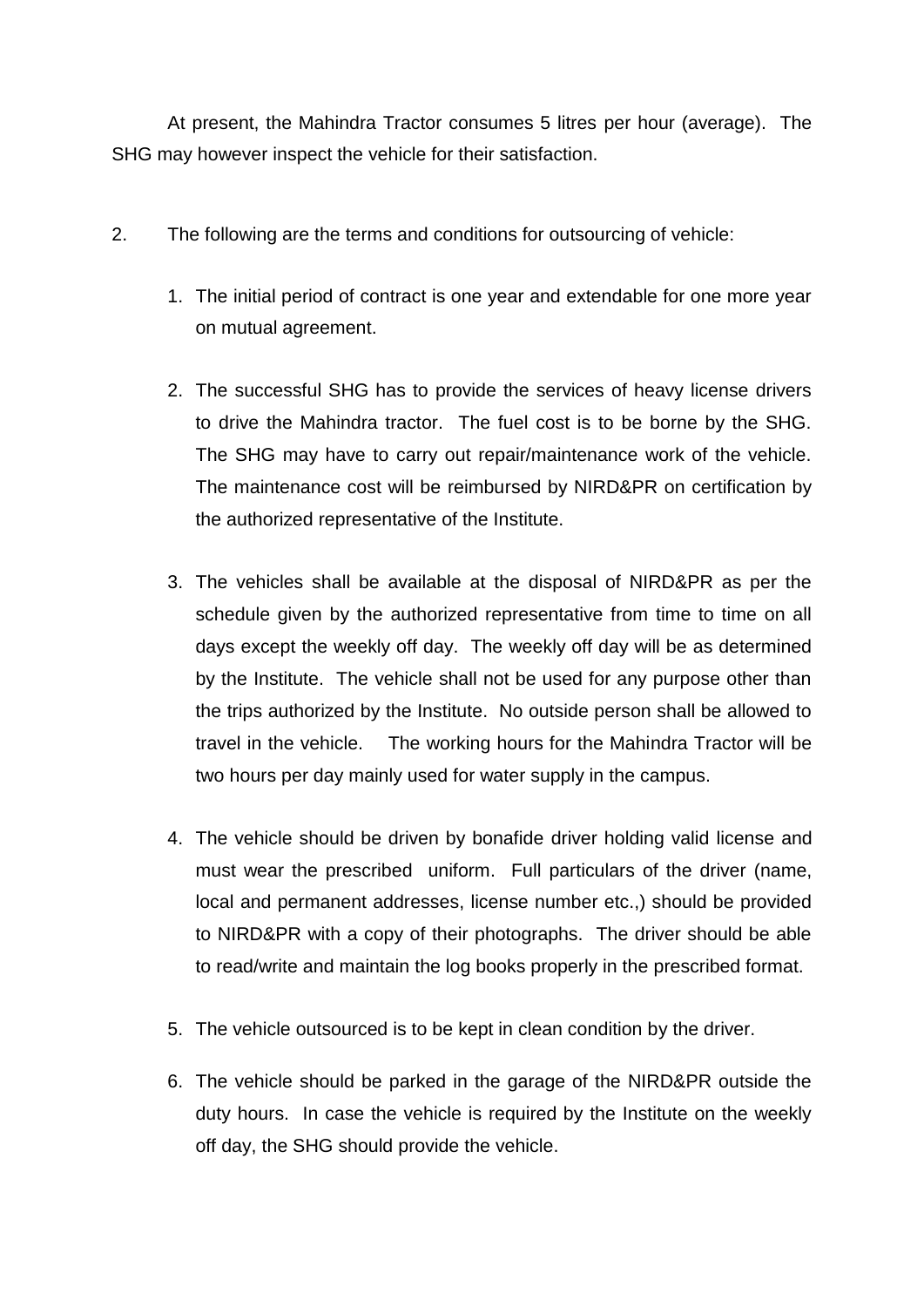At present, the Mahindra Tractor consumes 5 litres per hour (average). The SHG may however inspect the vehicle for their satisfaction.

- 2. The following are the terms and conditions for outsourcing of vehicle:
	- 1. The initial period of contract is one year and extendable for one more year on mutual agreement.
	- 2. The successful SHG has to provide the services of heavy license drivers to drive the Mahindra tractor. The fuel cost is to be borne by the SHG. The SHG may have to carry out repair/maintenance work of the vehicle. The maintenance cost will be reimbursed by NIRD&PR on certification by the authorized representative of the Institute.
	- 3. The vehicles shall be available at the disposal of NIRD&PR as per the schedule given by the authorized representative from time to time on all days except the weekly off day. The weekly off day will be as determined by the Institute. The vehicle shall not be used for any purpose other than the trips authorized by the Institute. No outside person shall be allowed to travel in the vehicle. The working hours for the Mahindra Tractor will be two hours per day mainly used for water supply in the campus.
	- 4. The vehicle should be driven by bonafide driver holding valid license and must wear the prescribed uniform. Full particulars of the driver (name, local and permanent addresses, license number etc.,) should be provided to NIRD&PR with a copy of their photographs. The driver should be able to read/write and maintain the log books properly in the prescribed format.
	- 5. The vehicle outsourced is to be kept in clean condition by the driver.
	- 6. The vehicle should be parked in the garage of the NIRD&PR outside the duty hours. In case the vehicle is required by the Institute on the weekly off day, the SHG should provide the vehicle.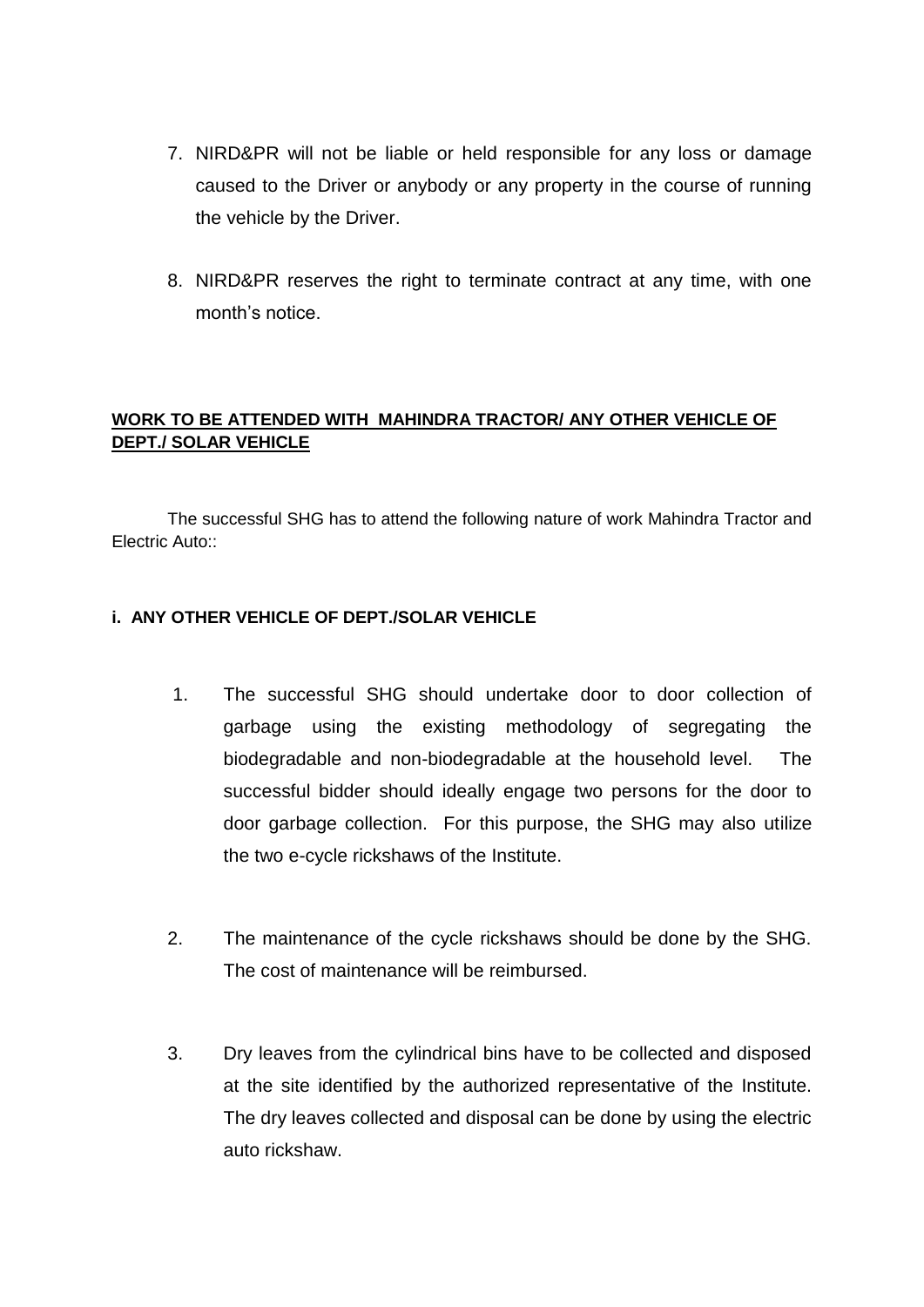- 7. NIRD&PR will not be liable or held responsible for any loss or damage caused to the Driver or anybody or any property in the course of running the vehicle by the Driver.
- 8. NIRD&PR reserves the right to terminate contract at any time, with one month's notice.

### **WORK TO BE ATTENDED WITH MAHINDRA TRACTOR/ ANY OTHER VEHICLE OF DEPT./ SOLAR VEHICLE**

The successful SHG has to attend the following nature of work Mahindra Tractor and Electric Auto::

### **i. ANY OTHER VEHICLE OF DEPT./SOLAR VEHICLE**

- 1. The successful SHG should undertake door to door collection of garbage using the existing methodology of segregating the biodegradable and non-biodegradable at the household level. The successful bidder should ideally engage two persons for the door to door garbage collection. For this purpose, the SHG may also utilize the two e-cycle rickshaws of the Institute.
- 2. The maintenance of the cycle rickshaws should be done by the SHG. The cost of maintenance will be reimbursed.
- 3. Dry leaves from the cylindrical bins have to be collected and disposed at the site identified by the authorized representative of the Institute. The dry leaves collected and disposal can be done by using the electric auto rickshaw.